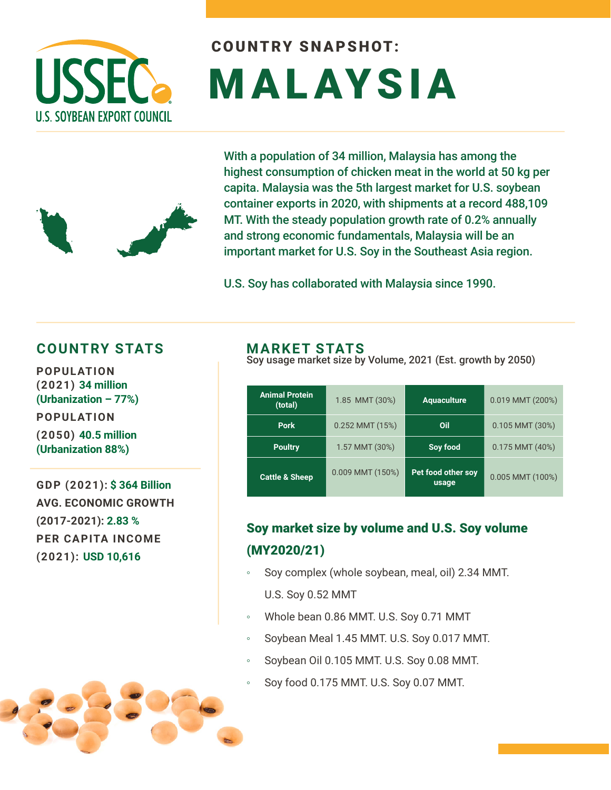

# COUNTRY SNAPSHOT: MALAYSIA

With a population of 34 million, Malaysia has among the highest consumption of chicken meat in the world at 50 kg per capita. Malaysia was the 5th largest market for U.S. soybean container exports in 2020, with shipments at a record 488,109 MT. With the steady population growth rate of 0.2% annually and strong economic fundamentals, Malaysia will be an important market for U.S. Soy in the Southeast Asia region.

U.S. Soy has collaborated with Malaysia since 1990.

#### **COUNTRY STATS MARKET STATS**

**POPULATION (2021) 34 million (Urbanization – 77%) POPULATION (2050) 40.5 million (Urbanization 88%)** 

**GDP (2021): \$ 364 Billion AVG. ECONOMIC GROWTH (2017-2021): 2.83 % PER CAPITA INCOME (2021): USD 10,616**

Soy usage market size by Volume, 2021 (Est. growth by 2050)

| <b>Animal Protein</b><br>(total) | 1.85 MMT (30%)   | <b>Aquaculture</b>          | 0.019 MMT (200%)    |
|----------------------------------|------------------|-----------------------------|---------------------|
| <b>Pork</b>                      | 0.252 MMT (15%)  | Oil                         | $0.105$ MMT $(30%)$ |
| <b>Poultry</b>                   | 1.57 MMT (30%)   | Soy food                    | $0.175$ MMT $(40%)$ |
| <b>Cattle &amp; Sheep</b>        | 0.009 MMT (150%) | Pet food other soy<br>usage | $0.005$ MMT (100%)  |

#### Soy market size by volume and U.S. Soy volume (MY2020/21)

- Soy complex (whole soybean, meal, oil) 2.34 MMT. U.S. Soy 0.52 MMT
- Whole bean 0.86 MMT. U.S. Soy 0.71 MMT
- Soybean Meal 1.45 MMT. U.S. Soy 0.017 MMT.
- Soybean Oil 0.105 MMT. U.S. Soy 0.08 MMT.
- Soy food 0.175 MMT. U.S. Soy 0.07 MMT.